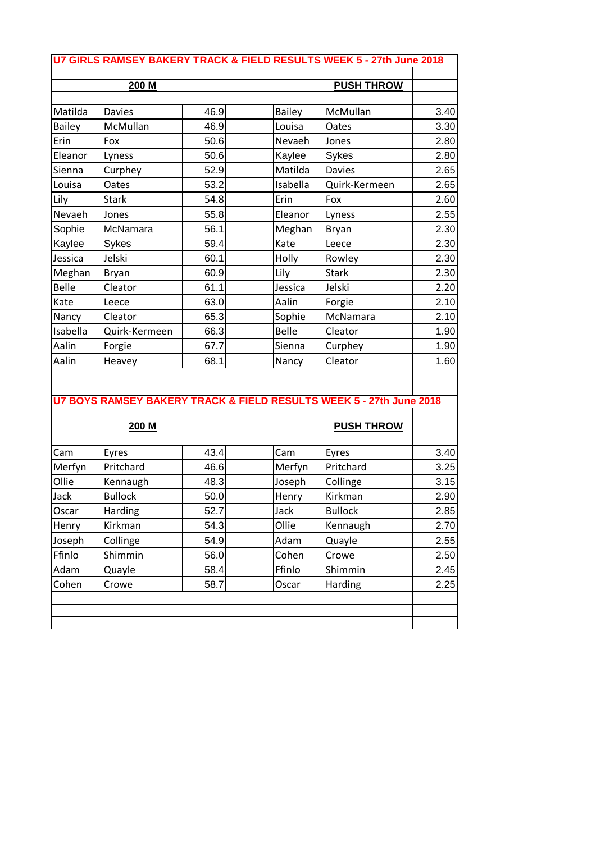|               |                |      |               | U7 GIRLS RAMSEY BAKERY TRACK & FIELD RESULTS WEEK 5 - 27th June 2018 |      |
|---------------|----------------|------|---------------|----------------------------------------------------------------------|------|
|               | 200 M          |      |               | <b>PUSH THROW</b>                                                    |      |
|               |                |      |               |                                                                      |      |
| Matilda       | <b>Davies</b>  | 46.9 | <b>Bailey</b> | McMullan                                                             | 3.40 |
| <b>Bailey</b> | McMullan       | 46.9 | Louisa        | <b>Oates</b>                                                         | 3.30 |
| Erin          | Fox            | 50.6 | Nevaeh        | Jones                                                                | 2.80 |
| Eleanor       | Lyness         | 50.6 | Kaylee        | Sykes                                                                | 2.80 |
| Sienna        | Curphey        | 52.9 | Matilda       | <b>Davies</b>                                                        | 2.65 |
| Louisa        | Oates          | 53.2 | Isabella      | Quirk-Kermeen                                                        | 2.65 |
| Lily          | <b>Stark</b>   | 54.8 | Erin          | Fox                                                                  | 2.60 |
| Nevaeh        | Jones          | 55.8 | Eleanor       | Lyness                                                               | 2.55 |
| Sophie        | McNamara       | 56.1 | Meghan        | Bryan                                                                | 2.30 |
| Kaylee        | Sykes          | 59.4 | Kate          | Leece                                                                | 2.30 |
| Jessica       | Jelski         | 60.1 | Holly         | Rowley                                                               | 2.30 |
| Meghan        | <b>Bryan</b>   | 60.9 | Lily          | <b>Stark</b>                                                         | 2.30 |
| <b>Belle</b>  | Cleator        | 61.1 | Jessica       | Jelski                                                               | 2.20 |
| Kate          | Leece          | 63.0 | Aalin         | Forgie                                                               | 2.10 |
| Nancy         | Cleator        | 65.3 | Sophie        | McNamara                                                             | 2.10 |
| Isabella      | Quirk-Kermeen  | 66.3 | <b>Belle</b>  | Cleator                                                              | 1.90 |
| Aalin         | Forgie         | 67.7 | Sienna        | Curphey                                                              | 1.90 |
| Aalin         | Heavey         | 68.1 | Nancy         | Cleator                                                              | 1.60 |
|               |                |      |               |                                                                      |      |
|               |                |      |               |                                                                      |      |
|               |                |      |               | U7 BOYS RAMSEY BAKERY TRACK & FIELD RESULTS WEEK 5 - 27th June 2018  |      |
|               | 200 M          |      |               | <b>PUSH THROW</b>                                                    |      |
| Cam           | Eyres          | 43.4 | Cam           | Eyres                                                                | 3.40 |
| Merfyn        | Pritchard      | 46.6 | Merfyn        | Pritchard                                                            | 3.25 |
| Ollie         | Kennaugh       | 48.3 | Joseph        | Collinge                                                             | 3.15 |
| Jack          | <b>Bullock</b> | 50.0 | Henry         | Kirkman                                                              | 2.90 |
| Oscar         | Harding        | 52.7 | Jack          | <b>Bullock</b>                                                       | 2.85 |
| Henry         | Kirkman        | 54.3 | Ollie         | Kennaugh                                                             | 2.70 |
| Joseph        | Collinge       | 54.9 | Adam          | Quayle                                                               | 2.55 |
| Ffinlo        | Shimmin        | 56.0 | Cohen         | Crowe                                                                | 2.50 |
| Adam          | Quayle         | 58.4 | Ffinlo        | Shimmin                                                              | 2.45 |
| Cohen         | Crowe          | 58.7 | Oscar         | Harding                                                              | 2.25 |
|               |                |      |               |                                                                      |      |
|               |                |      |               |                                                                      |      |
|               |                |      |               |                                                                      |      |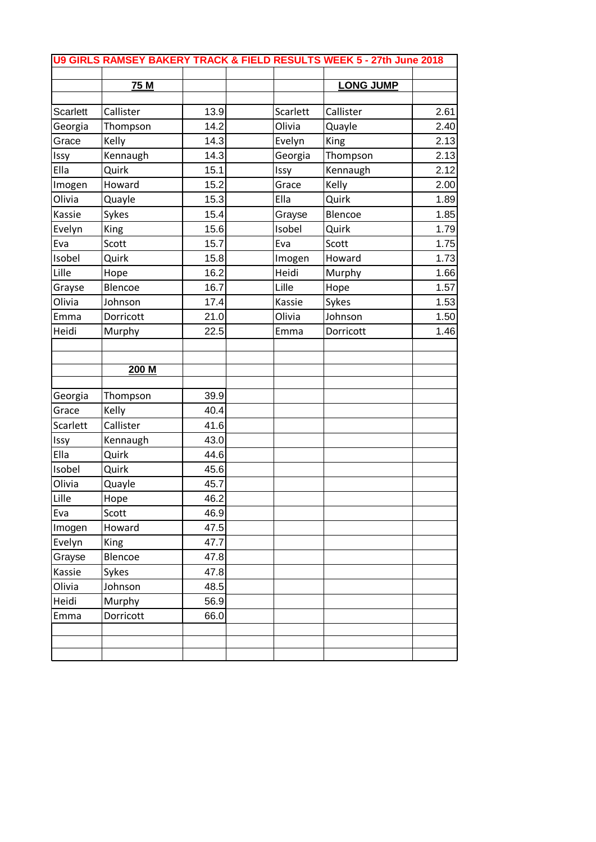|          |             |      |          | U9 GIRLS RAMSEY BAKERY TRACK & FIELD RESULTS WEEK 5 - 27th June 2018 |      |
|----------|-------------|------|----------|----------------------------------------------------------------------|------|
|          |             |      |          |                                                                      |      |
|          | 75 M        |      |          | <b>LONG JUMP</b>                                                     |      |
| Scarlett | Callister   | 13.9 | Scarlett | Callister                                                            | 2.61 |
| Georgia  | Thompson    | 14.2 | Olivia   | Quayle                                                               | 2.40 |
| Grace    | Kelly       | 14.3 | Evelyn   | King                                                                 | 2.13 |
| Issy     | Kennaugh    | 14.3 | Georgia  | Thompson                                                             | 2.13 |
| Ella     | Quirk       | 15.1 | Issy     | Kennaugh                                                             | 2.12 |
| Imogen   | Howard      | 15.2 | Grace    | Kelly                                                                | 2.00 |
| Olivia   | Quayle      | 15.3 | Ella     | Quirk                                                                | 1.89 |
| Kassie   | Sykes       | 15.4 | Grayse   | Blencoe                                                              | 1.85 |
| Evelyn   | King        | 15.6 | Isobel   | Quirk                                                                | 1.79 |
| Eva      | Scott       | 15.7 | Eva      | Scott                                                                | 1.75 |
| Isobel   | Quirk       | 15.8 | Imogen   | Howard                                                               | 1.73 |
| Lille    | Hope        | 16.2 | Heidi    | Murphy                                                               | 1.66 |
| Grayse   | Blencoe     | 16.7 | Lille    | Hope                                                                 | 1.57 |
| Olivia   | Johnson     | 17.4 | Kassie   | Sykes                                                                | 1.53 |
| Emma     | Dorricott   | 21.0 | Olivia   | Johnson                                                              | 1.50 |
| Heidi    | Murphy      | 22.5 | Emma     | Dorricott                                                            | 1.46 |
|          |             |      |          |                                                                      |      |
|          |             |      |          |                                                                      |      |
|          | 200 M       |      |          |                                                                      |      |
| Georgia  | Thompson    | 39.9 |          |                                                                      |      |
| Grace    | Kelly       | 40.4 |          |                                                                      |      |
| Scarlett | Callister   | 41.6 |          |                                                                      |      |
| Issy     | Kennaugh    | 43.0 |          |                                                                      |      |
| Ella     | Quirk       | 44.6 |          |                                                                      |      |
| Isobel   | Quirk       | 45.6 |          |                                                                      |      |
| Olivia   | Quayle      | 45.7 |          |                                                                      |      |
| Lille    | Hope        | 46.2 |          |                                                                      |      |
| Eva      | Scott       | 46.9 |          |                                                                      |      |
| Imogen   | Howard      | 47.5 |          |                                                                      |      |
| Evelyn   | <b>King</b> | 47.7 |          |                                                                      |      |
| Grayse   | Blencoe     | 47.8 |          |                                                                      |      |
| Kassie   | Sykes       | 47.8 |          |                                                                      |      |
| Olivia   | Johnson     | 48.5 |          |                                                                      |      |
| Heidi    | Murphy      | 56.9 |          |                                                                      |      |
| Emma     | Dorricott   | 66.0 |          |                                                                      |      |
|          |             |      |          |                                                                      |      |
|          |             |      |          |                                                                      |      |
|          |             |      |          |                                                                      |      |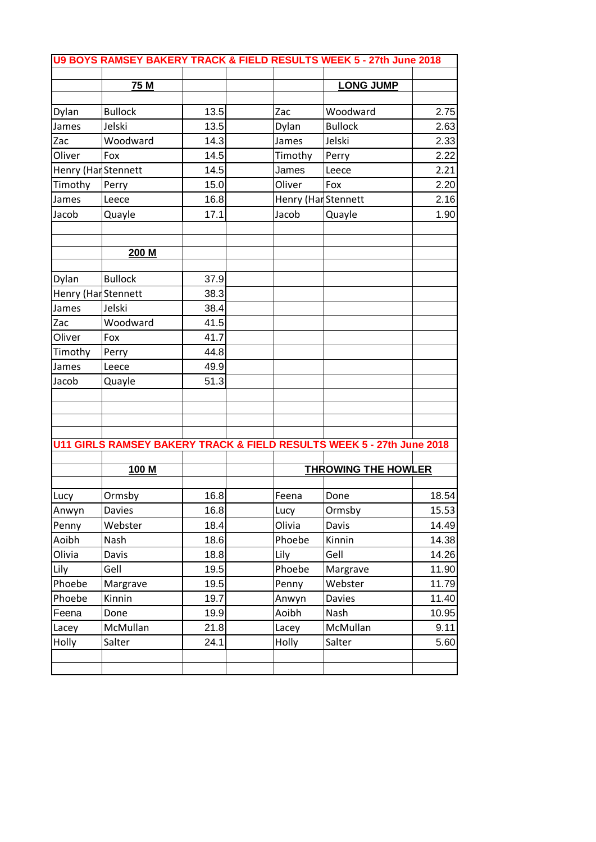| U9 BOYS RAMSEY BAKERY TRACK & FIELD RESULTS WEEK 5 - 27th June 2018 |                |      |  |                     |                                                                       |       |
|---------------------------------------------------------------------|----------------|------|--|---------------------|-----------------------------------------------------------------------|-------|
|                                                                     | 75 M           |      |  |                     | <b>LONG JUMP</b>                                                      |       |
| Dylan                                                               | <b>Bullock</b> | 13.5 |  | Zac                 | Woodward                                                              | 2.75  |
| James                                                               | Jelski         | 13.5 |  | Dylan               | <b>Bullock</b>                                                        | 2.63  |
| Zac                                                                 | Woodward       | 14.3 |  | James               | Jelski                                                                | 2.33  |
| Oliver                                                              | Fox            | 14.5 |  | Timothy             | Perry                                                                 | 2.22  |
| Henry (Har Stennett                                                 |                | 14.5 |  | James               | Leece                                                                 | 2.21  |
| Timothy                                                             | Perry          | 15.0 |  | Oliver              | Fox                                                                   | 2.20  |
| James                                                               | Leece          | 16.8 |  | Henry (Har Stennett |                                                                       | 2.16  |
| Jacob                                                               | Quayle         | 17.1 |  | Jacob               | Quayle                                                                | 1.90  |
|                                                                     | 200 M          |      |  |                     |                                                                       |       |
| Dylan                                                               | <b>Bullock</b> | 37.9 |  |                     |                                                                       |       |
| Henry (Har Stennett                                                 |                | 38.3 |  |                     |                                                                       |       |
| James                                                               | Jelski         | 38.4 |  |                     |                                                                       |       |
| Zac                                                                 | Woodward       | 41.5 |  |                     |                                                                       |       |
| Oliver                                                              | Fox            | 41.7 |  |                     |                                                                       |       |
| Timothy                                                             | Perry          | 44.8 |  |                     |                                                                       |       |
| James                                                               | Leece          | 49.9 |  |                     |                                                                       |       |
| Jacob                                                               | Quayle         | 51.3 |  |                     |                                                                       |       |
|                                                                     |                |      |  |                     | U11 GIRLS RAMSEY BAKERY TRACK & FIELD RESULTS WEEK 5 - 27th June 2018 |       |
|                                                                     |                |      |  |                     |                                                                       |       |
|                                                                     | 100 M          |      |  |                     | <b>THROWING THE HOWLER</b>                                            |       |
| Lucy                                                                | Ormsby         | 16.8 |  | Feena               | Done                                                                  | 18.54 |
| Anwyn                                                               | <b>Davies</b>  | 16.8 |  | Lucy                | Ormsby                                                                | 15.53 |
| Penny                                                               | Webster        | 18.4 |  | Olivia              | Davis                                                                 | 14.49 |
| Aoibh                                                               | Nash           | 18.6 |  | Phoebe              | Kinnin                                                                | 14.38 |
| Olivia                                                              | Davis          | 18.8 |  | Lily                | Gell                                                                  | 14.26 |
| Lily                                                                | Gell           | 19.5 |  | Phoebe              | Margrave                                                              | 11.90 |
| Phoebe                                                              | Margrave       | 19.5 |  | Penny               | Webster                                                               | 11.79 |
| Phoebe                                                              | Kinnin         | 19.7 |  | Anwyn               | Davies                                                                | 11.40 |
| Feena                                                               | Done           | 19.9 |  | Aoibh               | Nash                                                                  | 10.95 |
| Lacey                                                               | McMullan       | 21.8 |  | Lacey               | McMullan                                                              | 9.11  |
| Holly                                                               | Salter         | 24.1 |  | Holly               | Salter                                                                | 5.60  |
|                                                                     |                |      |  |                     |                                                                       |       |